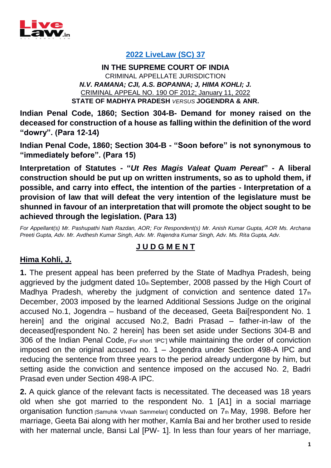

### **[2022 LiveLaw \(SC\) 37](https://www.livelaw.in/top-stories/supreme-court-demand-money-construction-of-house-dowry-demand-304b-ipc-189258)**

**IN THE SUPREME COURT OF INDIA** CRIMINAL APPELLATE JURISDICTION *N.V. RAMANA; CJI, A.S. BOPANNA; J, HIMA KOHLI; J.* CRIMINAL APPEAL NO. 190 OF 2012; January 11, 2022 **STATE OF MADHYA PRADESH** *VERSUS* **JOGENDRA & ANR.**

**Indian Penal Code, 1860; Section 304-B- Demand for money raised on the deceased for construction of a house as falling within the definition of the word "dowry". (Para 12-14)**

**Indian Penal Code, 1860; Section 304-B - "Soon before" is not synonymous to "immediately before". (Para 15)**

**Interpretation of Statutes - "***Ut Res Magis Valeat Quam Pereat***" - A liberal construction should be put up on written instruments, so as to uphold them, if possible, and carry into effect, the intention of the parties - Interpretation of a provision of law that will defeat the very intention of the legislature must be shunned in favour of an interpretation that will promote the object sought to be achieved through the legislation. (Para 13)**

*For Appellant(s) Mr. Pashupathi Nath Razdan, AOR; For Respondent(s) Mr. Anish Kumar Gupta, AOR Ms. Archana Preeti Gupta, Adv. Mr. Avdhesh Kumar Singh, Adv. Mr. Rajendra Kumar Singh, Adv. Ms. Rita Gupta, Adv.*

# **J U D G M E N T**

## **Hima Kohli, J.**

**1.** The present appeal has been preferred by the State of Madhya Pradesh, being aggrieved by the judgment dated 10th September, 2008 passed by the High Court of Madhya Pradesh, whereby the judgment of conviction and sentence dated  $17<sub>th</sub>$ December, 2003 imposed by the learned Additional Sessions Judge on the original accused No.1, Jogendra – husband of the deceased, Geeta Bai[respondent No. 1 herein] and the original accused No.2, Badri Prasad – father-in-law of the deceased[respondent No. 2 herein] has been set aside under Sections 304-B and 306 of the Indian Penal Code, [For short 'IPC'] while maintaining the order of conviction imposed on the original accused no. 1 – Jogendra under Section 498-A IPC and reducing the sentence from three years to the period already undergone by him, but setting aside the conviction and sentence imposed on the accused No. 2, Badri Prasad even under Section 498-A IPC.

**2.** A quick glance of the relevant facts is necessitated. The deceased was 18 years old when she got married to the respondent No. 1 [A1] in a social marriage organisation function [Samuhik VIvaah Sammelan] conducted on 7th May, 1998. Before her marriage, Geeta Bai along with her mother, Kamla Bai and her brother used to reside with her maternal uncle, Bansi Lal [PW- 1]. In less than four years of her marriage,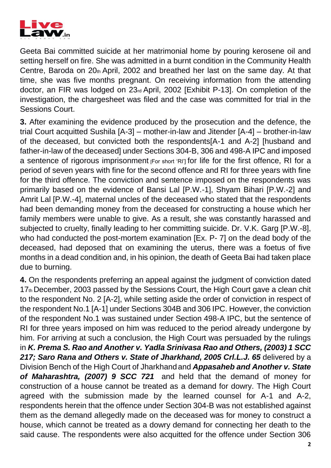

Geeta Bai committed suicide at her matrimonial home by pouring kerosene oil and setting herself on fire. She was admitted in a burnt condition in the Community Health Centre, Baroda on  $20<sub>th</sub>$  April, 2002 and breathed her last on the same day. At that time, she was five months pregnant. On receiving information from the attending doctor, an FIR was lodged on 23rd April, 2002 [Exhibit P-13]. On completion of the investigation, the chargesheet was filed and the case was committed for trial in the Sessions Court.

**3.** After examining the evidence produced by the prosecution and the defence, the trial Court acquitted Sushila [A-3] – mother-in-law and Jitender [A-4] – brother-in-law of the deceased, but convicted both the respondents[A-1 and A-2] [husband and father-in-law of the deceased] under Sections 304-B, 306 and 498-A IPC and imposed a sentence of rigorous imprisonment  $F$  for short 'RI'] for life for the first offence. RI for a period of seven years with fine for the second offence and RI for three years with fine for the third offence. The conviction and sentence imposed on the respondents was primarily based on the evidence of Bansi Lal [P.W.-1], Shyam Bihari [P.W.-2] and Amrit Lal [P.W.-4], maternal uncles of the deceased who stated that the respondents had been demanding money from the deceased for constructing a house which her family members were unable to give. As a result, she was constantly harassed and subjected to cruelty, finally leading to her committing suicide. Dr. V.K. Garg [P.W.-8], who had conducted the post-mortem examination [Ex. P- 7] on the dead body of the deceased, had deposed that on examining the uterus, there was a foetus of five months in a dead condition and, in his opinion, the death of Geeta Bai had taken place due to burning.

**4.** On the respondents preferring an appeal against the judgment of conviction dated 17th December, 2003 passed by the Sessions Court, the High Court gave a clean chit to the respondent No. 2 [A-2], while setting aside the order of conviction in respect of the respondent No.1 [A-1] under Sections 304B and 306 IPC. However, the conviction of the respondent No.1 was sustained under Section 498-A IPC, but the sentence of RI for three years imposed on him was reduced to the period already undergone by him. For arriving at such a conclusion, the High Court was persuaded by the rulings in *K. Prema S. Rao and Another v. Yadla Srinivasa Rao and Others, (2003) 1 SCC*  217; Saro Rana and Others v. State of Jharkhand, 2005 Crl.L.J. 65 delivered by a Division Bench of the High Court of Jharkhand and *Appasaheb and Another v. State of Maharashtra, (2007) 9 SCC 721* and held that the demand of money for construction of a house cannot be treated as a demand for dowry. The High Court agreed with the submission made by the learned counsel for A-1 and A-2, respondents herein that the offence under Section 304-B was not established against them as the demand allegedly made on the deceased was for money to construct a house, which cannot be treated as a dowry demand for connecting her death to the said cause. The respondents were also acquitted for the offence under Section 306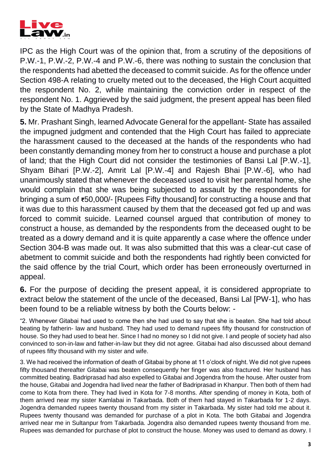

IPC as the High Court was of the opinion that, from a scrutiny of the depositions of P.W.-1, P.W.-2, P.W.-4 and P.W.-6, there was nothing to sustain the conclusion that the respondents had abetted the deceased to commit suicide. As for the offence under Section 498-A relating to cruelty meted out to the deceased, the High Court acquitted the respondent No. 2, while maintaining the conviction order in respect of the respondent No. 1. Aggrieved by the said judgment, the present appeal has been filed by the State of Madhya Pradesh.

**5.** Mr. Prashant Singh, learned Advocate General for the appellant- State has assailed the impugned judgment and contended that the High Court has failed to appreciate the harassment caused to the deceased at the hands of the respondents who had been constantly demanding money from her to construct a house and purchase a plot of land; that the High Court did not consider the testimonies of Bansi Lal [P.W.-1], Shyam Bihari [P.W.-2], Amrit Lal [P.W.-4] and Rajesh Bhai [P.W.-6], who had unanimously stated that whenever the deceased used to visit her parental home, she would complain that she was being subjected to assault by the respondents for bringing a sum of **₹**50,000/- [Rupees Fifty thousand] for constructing a house and that it was due to this harassment caused by them that the deceased got fed up and was forced to commit suicide. Learned counsel argued that contribution of money to construct a house, as demanded by the respondents from the deceased ought to be treated as a dowry demand and it is quite apparently a case where the offence under Section 304-B was made out. It was also submitted that this was a clear-cut case of abetment to commit suicide and both the respondents had rightly been convicted for the said offence by the trial Court, which order has been erroneously overturned in appeal.

**6.** For the purpose of deciding the present appeal, it is considered appropriate to extract below the statement of the uncle of the deceased, Bansi Lal [PW-1], who has been found to be a reliable witness by both the Courts below: -

"2. Whenever Gitabai had used to come then she had used to say that she is beaten. She had told about beating by fatherin- law and husband. They had used to demand rupees fifty thousand for construction of house. So they had used to beat her. Since I had no money so I did not give. I and people of society had also convinced to son-in-law and father-in-law but they did not agree. Gitabai had also discussed about demand of rupees fifty thousand with my sister and wife.

3. We had received the information of death of Gitabai by phone at 11 o'clock of night. We did not give rupees fifty thousand thereafter Gitabai was beaten consequently her finger was also fractured. Her husband has committed beating. Badriprasad had also expelled to Gitabai and Jogendra from the house. After ouster from the house, Gitabai and Jogendra had lived near the father of Badriprasad in Khanpur. Then both of them had come to Kota from there. They had lived in Kota for 7-8 months. After spending of money in Kota, both of them arrived near my sister Kamlabai in Takarbada. Both of them had stayed in Takarbada for 1-2 days. Jogendra demanded rupees twenty thousand from my sister in Takarbada. My sister had told me about it. Rupees twenty thousand was demanded for purchase of a plot in Kota. The both Gitabai and Jogendra arrived near me in Sultanpur from Takarbada. Jogendra also demanded rupees twenty thousand from me. Rupees was demanded for purchase of plot to construct the house. Money was used to demand as dowry. I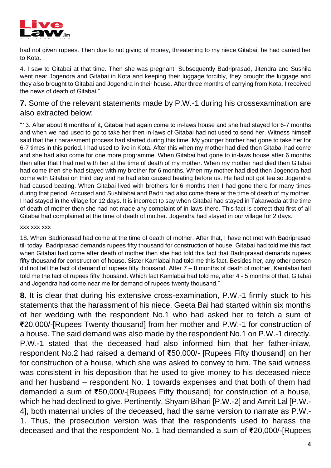

had not given rupees. Then due to not giving of money, threatening to my niece Gitabai, he had carried her to Kota.

4. I saw to Gitabai at that time. Then she was pregnant. Subsequently Badriprasad, Jitendra and Sushila went near Jogendra and Gitabai in Kota and keeping their luggage forcibly, they brought the luggage and they also brought to Gitabai and Jogendra in their house. After three months of carrying from Kota, I received the news of death of Gitabai."

### **7.** Some of the relevant statements made by P.W.-1 during his crossexamination are also extracted below:

"13. After about 6 months of it, Gitabai had again come to in-laws house and she had stayed for 6-7 months and when we had used to go to take her then in-laws of Gitabai had not used to send her. Witness himself said that their harassment process had started during this time. My younger brother had gone to take her for 6-7 times in this period. I had used to live in Kota. After this when my mother had died then Gitabai had come and she had also come for one more programme. When Gitabai had gone to in-laws house after 6 months then after that I had met with her at the time of death of my mother. When my mother had died then Gitabai had come then she had stayed with my brother for 6 months. When my mother had died then Jogendra had come with Gitabai on third day and he had also caused beating before us. He had not got tea so Jogendra had caused beating. When Gitabai lived with brothers for 6 months then I had gone there for many times during that period. Accused and Sushilabai and Badri had also come there at the time of death of my mother. I had stayed in the village for 12 days. It is incorrect to say when Gitabai had stayed in Takarwada at the time of death of mother then she had not made any complaint of in-laws there. This fact is correct that first of all Gitabai had complained at the time of death of mother. Jogendra had stayed in our village for 2 days.

#### xxx xxx xxx

18. When Badriprasad had come at the time of death of mother. After that, I have not met with Badriprasad till today. Badriprasad demands rupees fifty thousand for construction of house. Gitabai had told me this fact when Gitabai had come after death of mother then she had told this fact that Badriprasad demands rupees fifty thousand for construction of house. Sister Kamlabai had told me this fact. Besides her, any other person did not tell the fact of demand of rupees fifty thousand. After 7 – 8 months of death of mother, Kamlabai had told me the fact of rupees fifty thousand. Which fact Kamlabai had told me, after 4 - 5 months of that, Gitabai and Jogendra had come near me for demand of rupees twenty thousand."

**8.** It is clear that during his extensive cross-examination, P.W.-1 firmly stuck to his statements that the harassment of his niece, Geeta Bai had started within six months of her wedding with the respondent No.1 who had asked her to fetch a sum of **₹**20,000/-[Rupees Twenty thousand] from her mother and P.W.-1 for construction of a house. The said demand was also made by the respondent No.1 on P.W.-1 directly. P.W.-1 stated that the deceased had also informed him that her father-inlaw, respondent No.2 had raised a demand of **₹**50,000/- [Rupees Fifty thousand] on her for construction of a house, which she was asked to convey to him. The said witness was consistent in his deposition that he used to give money to his deceased niece and her husband – respondent No. 1 towards expenses and that both of them had demanded a sum of **₹**50,000/-[Rupees Fifty thousand] for construction of a house, which he had declined to give. Pertinently, Shyam Bihari [P.W.-2] and Amrit Lal [P.W.- 4], both maternal uncles of the deceased, had the same version to narrate as P.W.- 1. Thus, the prosecution version was that the respondents used to harass the deceased and that the respondent No. 1 had demanded a sum of **₹**20,000/-[Rupees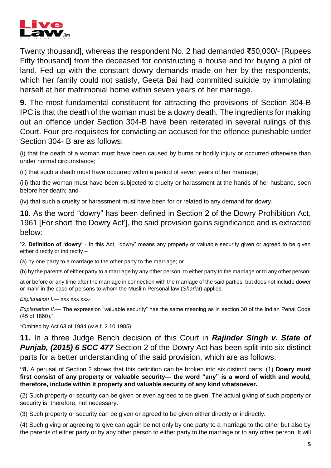

Twenty thousand], whereas the respondent No. 2 had demanded **₹**50,000/- [Rupees Fifty thousand] from the deceased for constructing a house and for buying a plot of land. Fed up with the constant dowry demands made on her by the respondents, which her family could not satisfy, Geeta Bai had committed suicide by immolating herself at her matrimonial home within seven years of her marriage.

**9.** The most fundamental constituent for attracting the provisions of Section 304-B IPC is that the death of the woman must be a dowry death. The ingredients for making out an offence under Section 304-B have been reiterated in several rulings of this Court. Four pre-requisites for convicting an accused for the offence punishable under Section 304- B are as follows:

(i) that the death of a woman must have been caused by burns or bodily injury or occurred otherwise than under normal circumstance;

(ii) that such a death must have occurred within a period of seven years of her marriage;

(iii) that the woman must have been subjected to cruelty or harassment at the hands of her husband, soon before her death; and

(iv) that such a cruelty or harassment must have been for or related to any demand for dowry.

**10.** As the word "dowry" has been defined in Section 2 of the Dowry Prohibition Act, 1961 [For short 'the Dowry Act'], the said provision gains significance and is extracted below:

"2. **Definition of 'dowry'** - In this Act, "dowry" means any property or valuable security given or agreed to be given either directly or indirectly –

(a) by one party to a marriage to the other party to the marriage; or

(b) by the parents of either party to a marriage by any other person, to either party to the marriage or to any other person;

at or before or any time after the marriage in connection with the marriage of the said parties, but does not include dower or mahr in the case of persons to whom the Muslim Personal law (*Shariat*) applies.

Explanation *I.*— xxx xxx xxx<sup>\*</sup>

*Explanation II.*— The expression "valuable security" has the same meaning as in section 30 of the Indian Penal Code (45 of 1860)."

\*Omitted by Act 63 of 1984 (w.e.f. 2.10.1985)

**11.** In a three Judge Bench decision of this Court in *Rajinder Singh v. State of Punjab, (2015) 6 SCC 477 Section 2 of the Dowry Act has been split into six distinct* parts for a better understanding of the said provision, which are as follows:

**"8.** A perusal of Section 2 shows that this definition can be broken into six distinct parts: (1) **Dowry must first consist of any property or valuable security— the word "any" is a word of width and would, therefore, include within it property and valuable security of any kind whatsoever.**

(2) Such property or security can be given or even agreed to be given. The actual giving of such property or security is, therefore, not necessary.

(3) Such property or security can be given or agreed to be given either directly or indirectly.

(4) Such giving or agreeing to give can again be not only by one party to a marriage to the other but also by the parents of either party or by any other person to either party to the marriage or to any other person. It will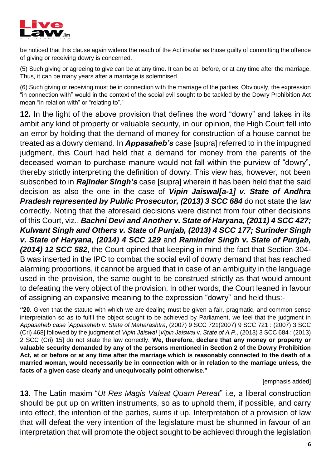

be noticed that this clause again widens the reach of the Act insofar as those guilty of committing the offence of giving or receiving dowry is concerned.

(5) Such giving or agreeing to give can be at any time. It can be at, before, or at any time after the marriage. Thus, it can be many years after a marriage is solemnised.

(6) Such giving or receiving must be in connection with the marriage of the parties. Obviously, the expression "in connection with" would in the context of the social evil sought to be tackled by the Dowry Prohibition Act mean "in relation with" or "relating to"."

**12.** In the light of the above provision that defines the word "dowry" and takes in its ambit any kind of property or valuable security, in our opinion, the High Court fell into an error by holding that the demand of money for construction of a house cannot be treated as a dowry demand. In *Appasaheb's* case [supra] referred to in the impugned judgment, this Court had held that a demand for money from the parents of the deceased woman to purchase manure would not fall within the purview of "dowry", thereby strictly interpreting the definition of dowry. This view has, however, not been subscribed to in *Rajinder Singh's* case [supra] wherein it has been held that the said decision as also the one in the case of *Vipin Jaiswal[a-1] v. State of Andhra Pradesh represented by Public Prosecutor, (2013) 3 SCC 684* do not state the law correctly. Noting that the aforesaid decisions were distinct from four other decisions of this Court, viz., *Bachni Devi and Another v. State of Haryana, (2011) 4 SCC 427; Kulwant Singh and Others v. State of Punjab, (2013) 4 SCC 177; Surinder Singh v. State of Haryana, (2014) 4 SCC 129* and *Raminder Singh v. State of Punjab, (2014) 12 SCC 582*, the Court opined that keeping in mind the fact that Section 304- B was inserted in the IPC to combat the social evil of dowry demand that has reached alarming proportions, it cannot be argued that in case of an ambiguity in the language used in the provision, the same ought to be construed strictly as that would amount to defeating the very object of the provision. In other words, the Court leaned in favour of assigning an expansive meaning to the expression "dowry" and held thus:-

**"20.** Given that the statute with which we are dealing must be given a fair, pragmatic, and common sense interpretation so as to fulfil the object sought to be achieved by Parliament, we feel that the judgment in *Appasaheb case* [*Appasaheb* v. *State of Maharashtra*, (2007) 9 SCC 721(2007) 9 SCC 721 : (2007) 3 SCC (Cri) 468] followed by the judgment of *Vipin Jaiswal* [*Vipin Jaiswal* v. *State of A.P.*, (2013) 3 SCC 684 : (2013) 2 SCC (Cri) 15] do not state the law correctly. **We, therefore, declare that any money or property or valuable security demanded by any of the persons mentioned in Section 2 of the Dowry Prohibition Act, at or before or at any time after the marriage which is reasonably connected to the death of a married woman, would necessarily be in connection with or in relation to the marriage unless, the facts of a given case clearly and unequivocally point otherwise."** 

[emphasis added]

**13.** The Latin maxim "*Ut Res Magis Valeat Quam Pereat*" i.e, a liberal construction should be put up on written instruments, so as to uphold them, if possible, and carry into effect, the intention of the parties, sums it up. Interpretation of a provision of law that will defeat the very intention of the legislature must be shunned in favour of an interpretation that will promote the object sought to be achieved through the legislation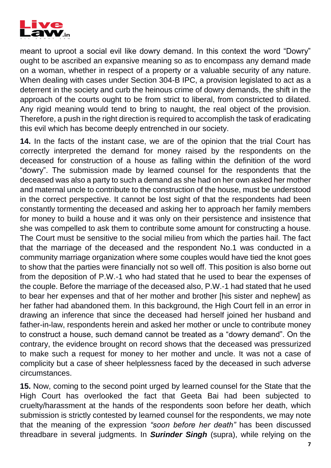

meant to uproot a social evil like dowry demand. In this context the word "Dowry" ought to be ascribed an expansive meaning so as to encompass any demand made on a woman, whether in respect of a property or a valuable security of any nature. When dealing with cases under Section 304-B IPC, a provision legislated to act as a deterrent in the society and curb the heinous crime of dowry demands, the shift in the approach of the courts ought to be from strict to liberal, from constricted to dilated. Any rigid meaning would tend to bring to naught, the real object of the provision. Therefore, a push in the right direction is required to accomplish the task of eradicating this evil which has become deeply entrenched in our society.

**14.** In the facts of the instant case, we are of the opinion that the trial Court has correctly interpreted the demand for money raised by the respondents on the deceased for construction of a house as falling within the definition of the word "dowry". The submission made by learned counsel for the respondents that the deceased was also a party to such a demand as she had on her own asked her mother and maternal uncle to contribute to the construction of the house, must be understood in the correct perspective. It cannot be lost sight of that the respondents had been constantly tormenting the deceased and asking her to approach her family members for money to build a house and it was only on their persistence and insistence that she was compelled to ask them to contribute some amount for constructing a house. The Court must be sensitive to the social milieu from which the parties hail. The fact that the marriage of the deceased and the respondent No.1 was conducted in a community marriage organization where some couples would have tied the knot goes to show that the parties were financially not so well off. This position is also borne out from the deposition of P.W.-1 who had stated that he used to bear the expenses of the couple. Before the marriage of the deceased also, P.W.-1 had stated that he used to bear her expenses and that of her mother and brother [his sister and nephew] as her father had abandoned them. In this background, the High Court fell in an error in drawing an inference that since the deceased had herself joined her husband and father-in-law, respondents herein and asked her mother or uncle to contribute money to construct a house, such demand cannot be treated as a "dowry demand". On the contrary, the evidence brought on record shows that the deceased was pressurized to make such a request for money to her mother and uncle. It was not a case of complicity but a case of sheer helplessness faced by the deceased in such adverse circumstances.

**15.** Now, coming to the second point urged by learned counsel for the State that the High Court has overlooked the fact that Geeta Bai had been subjected to cruelty/harassment at the hands of the respondents soon before her death, which submission is strictly contested by learned counsel for the respondents, we may note that the meaning of the expression *"soon before her death"* has been discussed threadbare in several judgments. In *Surinder Singh* (supra), while relying on the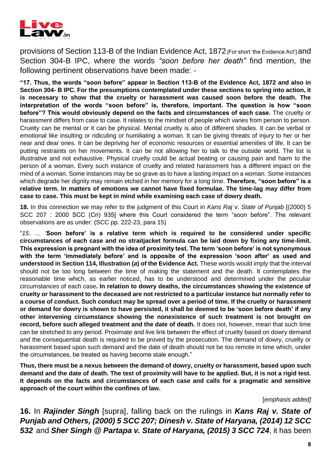

provisions of Section 113-B of the Indian Evidence Act, 1872 [For short 'the Evidence Act'] and Section 304-B IPC, where the words *"soon before her death"* find mention, the following pertinent observations have been made: -

**"17. Thus, the words "soon before" appear in Section 113-B of the Evidence Act, 1872 and also in Section 304- B IPC. For the presumptions contemplated under these sections to spring into action, it is necessary to show that the cruelty or harassment was caused soon before the death. The interpretation of the words "soon before" is, therefore, important. The question is how "soon before"? This would obviously depend on the facts and circumstances of each case.** The cruelty or harassment differs from case to case. It relates to the mindset of people which varies from person to person. Cruelty can be mental or it can be physical. Mental cruelty is also of different shades. It can be verbal or emotional like insulting or ridiculing or humiliating a woman. It can be giving threats of injury to her or her near and dear ones. It can be depriving her of economic resources or essential amenities of life. It can be putting restraints on her movements. It can be not allowing her to talk to the outside world. The list is illustrative and not exhaustive. Physical cruelty could be actual beating or causing pain and harm to the person of a woman. Every such instance of cruelty and related harassment has a different impact on the mind of a woman. Some instances may be so grave as to have a lasting impact on a woman. Some instances which degrade her dignity may remain etched in her memory for a long time. **Therefore, "soon before" is a relative term. In matters of emotions we cannot have fixed formulae. The time-lag may differ from case to case. This must be kept in mind while examining each case of dowry death.**

**18.** In this connection we may refer to the judgment of this Court in *Kans Raj* v. *State of Punjab* [(2000) 5 SCC 207 : 2000 SCC (Cri) 935] where this Court considered the term "soon before". The relevant observations are as under: (SCC pp. 222-23, para 15)

"*15*. … '**Soon before' is a relative term which is required to be considered under specific circumstances of each case and no straitjacket formula can be laid down by fixing any time-limit. This expression is pregnant with the idea of proximity test. The term 'soon before' is not synonymous with the term 'immediately before' and is opposite of the expression 'soon after' as used and understood in Section 114, Illustration (***a***) of the Evidence Act.** These words would imply that the interval should not be too long between the time of making the statement and the death. It contemplates the reasonable time which, as earlier noticed, has to be understood and determined under the peculiar circumstances of each case**. In relation to dowry deaths, the circumstances showing the existence of cruelty or harassment to the deceased are not restricted to a particular instance but normally refer to a course of conduct. Such conduct may be spread over a period of time. If the cruelty or harassment or demand for dowry is shown to have persisted, it shall be deemed to be 'soon before death' if any other intervening circumstance showing the nonexistence of such treatment is not brought on record, before such alleged treatment and the date of death.** It does not, however, mean that such time can be stretched to any period. Proximate and live link between the effect of cruelty based on dowry demand and the consequential death is required to be proved by the prosecution. The demand of dowry, cruelty or harassment based upon such demand and the date of death should not be too remote in time which, under the circumstances, be treated as having become stale enough."

**Thus, there must be a nexus between the demand of dowry, cruelty or harassment, based upon such demand and the date of death. The test of proximity will have to be applied. But, it is not a rigid test. It depends on the facts and circumstances of each case and calls for a pragmatic and sensitive approach of the court within the confines of law.**

#### [*emphasis added]*

**16.** In *Rajinder Singh* [supra], falling back on the rulings in *Kans Raj v. State of Punjab and Others, (2000) 5 SCC 207; Dinesh v. State of Haryana, (2014) 12 SCC 532* and *Sher Singh @ Partapa v. State of Haryana, (2015) 3 SCC 724*, it has been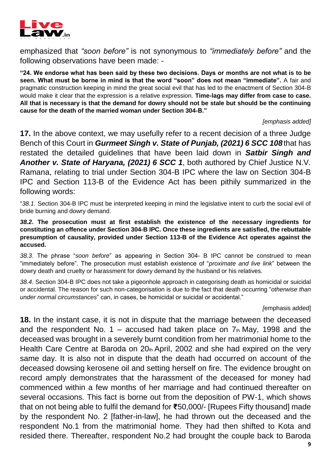

emphasized that *"soon before"* is not synonymous to *"immediately before"* and the following observations have been made: -

**"24. We endorse what has been said by these two decisions. Days or months are not what is to be seen. What must be borne in mind is that the word "soon" does not mean "immediate".** A fair and pragmatic construction keeping in mind the great social evil that has led to the enactment of Section 304-B would make it clear that the expression is a relative expression. **Time-lags may differ from case to case. All that is necessary is that the demand for dowry should not be stale but should be the continuing cause for the death of the married woman under Section 304-B."** 

#### *[emphasis added]*

**17.** In the above context, we may usefully refer to a recent decision of a three Judge Bench of this Court in *Gurmeet Singh v. State of Punjab, (2021) 6 SCC 108*that has restated the detailed guidelines that have been laid down in *Satbir Singh and Another v. State of Haryana, (2021) 6 SCC 1*, both authored by Chief Justice N.V. Ramana, relating to trial under Section 304-B IPC where the law on Section 304-B IPC and Section 113-B of the Evidence Act has been pithily summarized in the following words:

"*38.1*. Section 304-B IPC must be interpreted keeping in mind the legislative intent to curb the social evil of bride burning and dowry demand.

*38.2***. The prosecution must at first establish the existence of the necessary ingredients for constituting an offence under Section 304-B IPC. Once these ingredients are satisfied, the rebuttable presumption of causality, provided under Section 113-B of the Evidence Act operates against the accused.**

*38.3*. The phrase "*soon before*" as appearing in Section 304- B IPC cannot be construed to mean "immediately before". The prosecution must establish existence of "*proximate and live link*" between the dowry death and cruelty or harassment for dowry demand by the husband or his relatives.

*38.4*. Section 304-B IPC does not take a pigeonhole approach in categorising death as homicidal or suicidal or accidental. The reason for such non-categorisation is due to the fact that death occurring "*otherwise than under normal circumstances*" can, in cases, be homicidal or suicidal or accidental."

### *[*emphasis added]

**18.** In the instant case, it is not in dispute that the marriage between the deceased and the respondent No. 1 – accused had taken place on  $7<sub>th</sub>$  May, 1998 and the deceased was brought in a severely burnt condition from her matrimonial home to the Health Care Centre at Baroda on 20th April, 2002 and she had expired on the very same day. It is also not in dispute that the death had occurred on account of the deceased dowsing kerosene oil and setting herself on fire. The evidence brought on record amply demonstrates that the harassment of the deceased for money had commenced within a few months of her marriage and had continued thereafter on several occasions. This fact is borne out from the deposition of PW-1, which shows that on not being able to fulfil the demand for **₹**50,000/- [Rupees Fifty thousand] made by the respondent No. 2 [father-in-law], he had thrown out the deceased and the respondent No.1 from the matrimonial home. They had then shifted to Kota and resided there. Thereafter, respondent No.2 had brought the couple back to Baroda